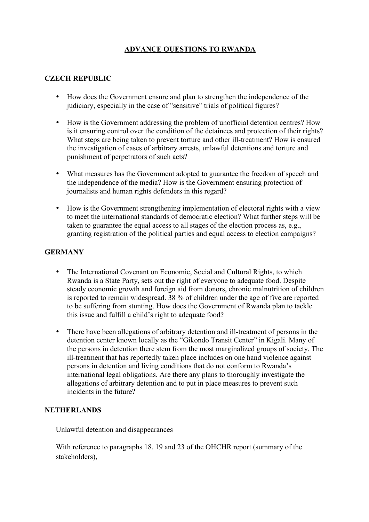# **ADVANCE QUESTIONS TO RWANDA**

## **CZECH REPUBLIC**

- How does the Government ensure and plan to strengthen the independence of the judiciary, especially in the case of "sensitive" trials of political figures?
- How is the Government addressing the problem of unofficial detention centres? How is it ensuring control over the condition of the detainees and protection of their rights? What steps are being taken to prevent torture and other ill-treatment? How is ensured the investigation of cases of arbitrary arrests, unlawful detentions and torture and punishment of perpetrators of such acts?
- What measures has the Government adopted to guarantee the freedom of speech and the independence of the media? How is the Government ensuring protection of journalists and human rights defenders in this regard?
- How is the Government strengthening implementation of electoral rights with a view to meet the international standards of democratic election? What further steps will be taken to guarantee the equal access to all stages of the election process as, e.g., granting registration of the political parties and equal access to election campaigns?

## **GERMANY**

- The International Covenant on Economic, Social and Cultural Rights, to which Rwanda is a State Party, sets out the right of everyone to adequate food. Despite steady economic growth and foreign aid from donors, chronic malnutrition of children is reported to remain widespread. 38 % of children under the age of five are reported to be suffering from stunting. How does the Government of Rwanda plan to tackle this issue and fulfill a child's right to adequate food?
- There have been allegations of arbitrary detention and ill-treatment of persons in the detention center known locally as the "Gikondo Transit Center" in Kigali. Many of the persons in detention there stem from the most marginalized groups of society. The ill-treatment that has reportedly taken place includes on one hand violence against persons in detention and living conditions that do not conform to Rwanda's international legal obligations. Are there any plans to thoroughly investigate the allegations of arbitrary detention and to put in place measures to prevent such incidents in the future?

#### **NETHERLANDS**

Unlawful detention and disappearances

With reference to paragraphs 18, 19 and 23 of the OHCHR report (summary of the stakeholders),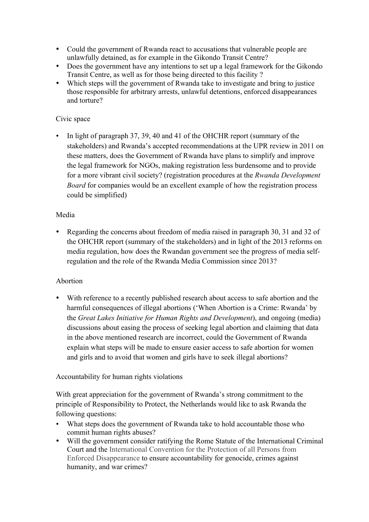- Could the government of Rwanda react to accusations that vulnerable people are unlawfully detained, as for example in the Gikondo Transit Centre?
- Does the government have any intentions to set up a legal framework for the Gikondo Transit Centre, as well as for those being directed to this facility ?
- Which steps will the government of Rwanda take to investigate and bring to justice those responsible for arbitrary arrests, unlawful detentions, enforced disappearances and torture?

## Civic space

• In light of paragraph 37, 39, 40 and 41 of the OHCHR report (summary of the stakeholders) and Rwanda's accepted recommendations at the UPR review in 2011 on these matters, does the Government of Rwanda have plans to simplify and improve the legal framework for NGOs, making registration less burdensome and to provide for a more vibrant civil society? (registration procedures at the *Rwanda Development Board* for companies would be an excellent example of how the registration process could be simplified)

## Media

• Regarding the concerns about freedom of media raised in paragraph 30, 31 and 32 of the OHCHR report (summary of the stakeholders) and in light of the 2013 reforms on media regulation, how does the Rwandan government see the progress of media selfregulation and the role of the Rwanda Media Commission since 2013?

## Abortion

• With reference to a recently published research about access to safe abortion and the harmful consequences of illegal abortions ('When Abortion is a Crime: Rwanda' by the *Great Lakes Initiative for Human Rights and Development*), and ongoing (media) discussions about easing the process of seeking legal abortion and claiming that data in the above mentioned research are incorrect, could the Government of Rwanda explain what steps will be made to ensure easier access to safe abortion for women and girls and to avoid that women and girls have to seek illegal abortions?

## Accountability for human rights violations

With great appreciation for the government of Rwanda's strong commitment to the principle of Responsibility to Protect, the Netherlands would like to ask Rwanda the following questions:

- What steps does the government of Rwanda take to hold accountable those who commit human rights abuses?
- Will the government consider ratifying the Rome Statute of the International Criminal Court and the International Convention for the Protection of all Persons from Enforced Disappearance to ensure accountability for genocide, crimes against humanity, and war crimes?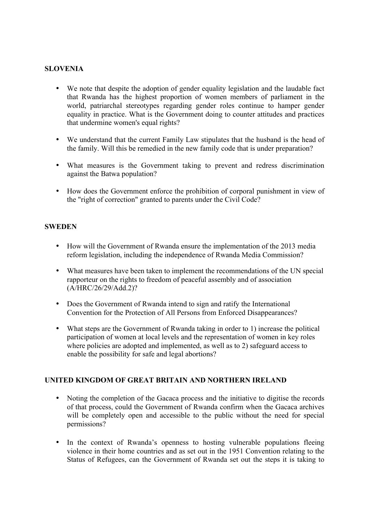## **SLOVENIA**

- We note that despite the adoption of gender equality legislation and the laudable fact that Rwanda has the highest proportion of women members of parliament in the world, patriarchal stereotypes regarding gender roles continue to hamper gender equality in practice. What is the Government doing to counter attitudes and practices that undermine women's equal rights?
- We understand that the current Family Law stipulates that the husband is the head of the family. Will this be remedied in the new family code that is under preparation?
- What measures is the Government taking to prevent and redress discrimination against the Batwa population?
- How does the Government enforce the prohibition of corporal punishment in view of the "right of correction" granted to parents under the Civil Code?

#### **SWEDEN**

- How will the Government of Rwanda ensure the implementation of the 2013 media reform legislation, including the independence of Rwanda Media Commission?
- What measures have been taken to implement the recommendations of the UN special rapporteur on the rights to freedom of peaceful assembly and of association (A/HRC/26/29/Add.2)?
- Does the Government of Rwanda intend to sign and ratify the International Convention for the Protection of All Persons from Enforced Disappearances?
- What steps are the Government of Rwanda taking in order to 1) increase the political participation of women at local levels and the representation of women in key roles where policies are adopted and implemented, as well as to 2) safeguard access to enable the possibility for safe and legal abortions?

### **UNITED KINGDOM OF GREAT BRITAIN AND NORTHERN IRELAND**

- Noting the completion of the Gacaca process and the initiative to digitise the records of that process, could the Government of Rwanda confirm when the Gacaca archives will be completely open and accessible to the public without the need for special permissions?
- In the context of Rwanda's openness to hosting vulnerable populations fleeing violence in their home countries and as set out in the 1951 Convention relating to the Status of Refugees, can the Government of Rwanda set out the steps it is taking to